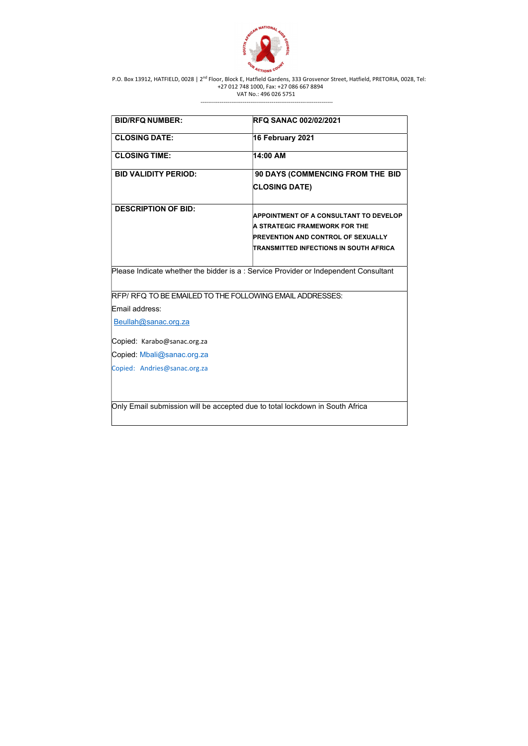

---------------------------------------------------------------------

| <b>BID/RFQ NUMBER:</b>                                                               | <b>RFQ SANAC 002/02/2021</b>                                                                                                                                          |
|--------------------------------------------------------------------------------------|-----------------------------------------------------------------------------------------------------------------------------------------------------------------------|
| <b>CLOSING DATE:</b>                                                                 | 16 February 2021                                                                                                                                                      |
| <b>CLOSING TIME:</b>                                                                 | 14:00 AM                                                                                                                                                              |
| <b>BID VALIDITY PERIOD:</b>                                                          | 90 DAYS (COMMENCING FROM THE BID                                                                                                                                      |
|                                                                                      | <b>CLOSING DATE)</b>                                                                                                                                                  |
| <b>DESCRIPTION OF BID:</b>                                                           | <b>APPOINTMENT OF A CONSULTANT TO DEVELOP</b><br>A STRATEGIC FRAMEWORK FOR THE<br><b>PREVENTION AND CONTROL OF SEXUALLY</b><br>TRANSMITTED INFECTIONS IN SOUTH AFRICA |
| Please Indicate whether the bidder is a : Service Provider or Independent Consultant |                                                                                                                                                                       |
| RFP/ RFQ TO BE EMAILED TO THE FOLLOWING EMAIL ADDRESSES:                             |                                                                                                                                                                       |
| Email address:                                                                       |                                                                                                                                                                       |
| Beullah@sanac.org.za                                                                 |                                                                                                                                                                       |
| Copied: Karabo@sanac.org.za                                                          |                                                                                                                                                                       |
| Copied: Mbali@sanac.org.za                                                           |                                                                                                                                                                       |
| Copied: Andries@sanac.org.za                                                         |                                                                                                                                                                       |
| Only Email submission will be accepted due to total lockdown in South Africa         |                                                                                                                                                                       |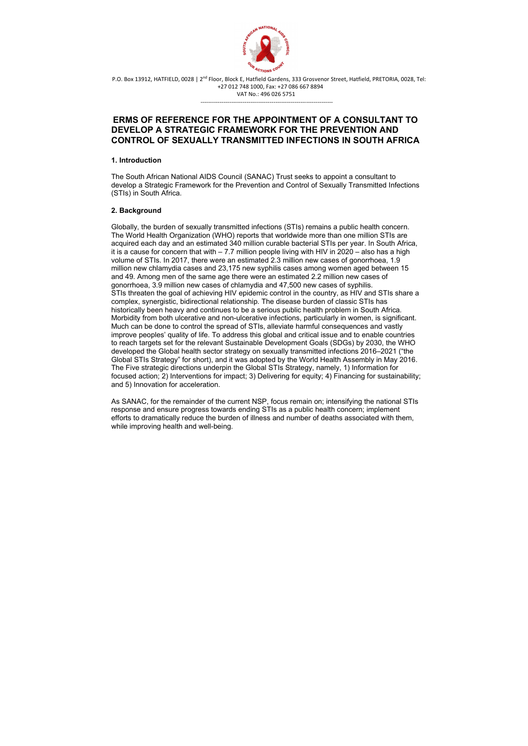

---------------------------------------------------------------------

# ERMS OF REFERENCE FOR THE APPOINTMENT OF A CONSULTANT TO DEVELOP A STRATEGIC FRAMEWORK FOR THE PREVENTION AND CONTROL OF SEXUALLY TRANSMITTED INFECTIONS IN SOUTH AFRICA

### 1. Introduction

The South African National AIDS Council (SANAC) Trust seeks to appoint a consultant to develop a Strategic Framework for the Prevention and Control of Sexually Transmitted Infections (STIs) in South Africa.

# 2. Background

Globally, the burden of sexually transmitted infections (STIs) remains a public health concern. The World Health Organization (WHO) reports that worldwide more than one million STIs are acquired each day and an estimated 340 million curable bacterial STIs per year. In South Africa, it is a cause for concern that with  $-7.7$  million people living with HIV in 2020  $-$  also has a high volume of STIs. In 2017, there were an estimated 2.3 million new cases of gonorrhoea, 1.9 million new chlamydia cases and 23,175 new syphilis cases among women aged between 15 and 49. Among men of the same age there were an estimated 2.2 million new cases of gonorrhoea, 3.9 million new cases of chlamydia and 47,500 new cases of syphilis. STIs threaten the goal of achieving HIV epidemic control in the country, as HIV and STIs share a complex, synergistic, bidirectional relationship. The disease burden of classic STIs has historically been heavy and continues to be a serious public health problem in South Africa. Morbidity from both ulcerative and non-ulcerative infections, particularly in women, is significant. Much can be done to control the spread of STIs, alleviate harmful consequences and vastly improve peoples' quality of life. To address this global and critical issue and to enable countries to reach targets set for the relevant Sustainable Development Goals (SDGs) by 2030, the WHO developed the Global health sector strategy on sexually transmitted infections 2016–2021 ("the Global STIs Strategy" for short), and it was adopted by the World Health Assembly in May 2016. The Five strategic directions underpin the Global STIs Strategy, namely, 1) Information for focused action; 2) Interventions for impact; 3) Delivering for equity; 4) Financing for sustainability; and 5) Innovation for acceleration.

As SANAC, for the remainder of the current NSP, focus remain on; intensifying the national STIs response and ensure progress towards ending STIs as a public health concern; implement efforts to dramatically reduce the burden of illness and number of deaths associated with them, while improving health and well-being.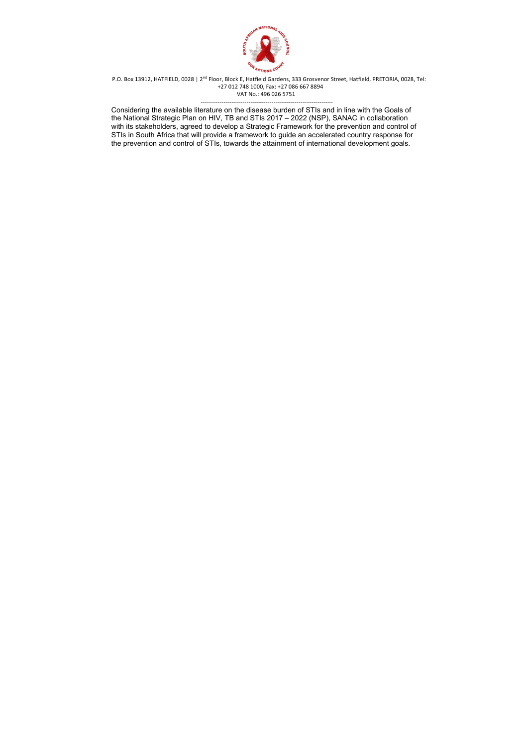

 --------------------------------------------------------------------- Considering the available literature on the disease burden of STIs and in line with the Goals of the National Strategic Plan on HIV, TB and STIs 2017 – 2022 (NSP), SANAC in collaboration with its stakeholders, agreed to develop a Strategic Framework for the prevention and control of STIs in South Africa that will provide a framework to guide an accelerated country response for the prevention and control of STIs, towards the attainment of international development goals.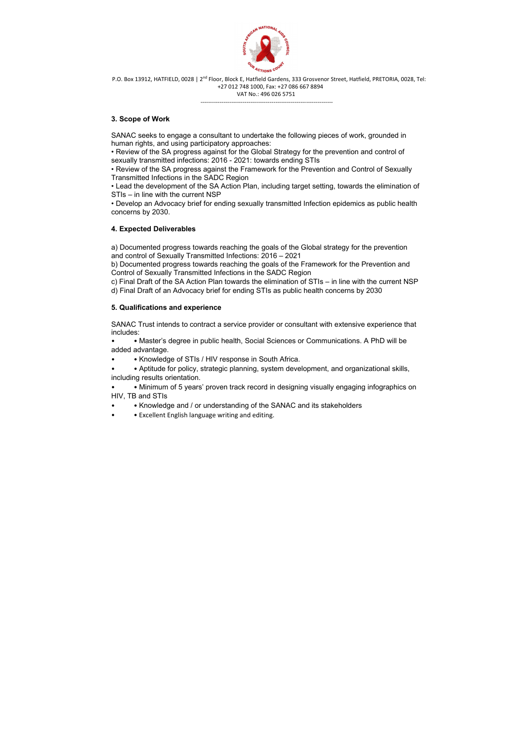

---------------------------------------------------------------------

## 3. Scope of Work

SANAC seeks to engage a consultant to undertake the following pieces of work, grounded in human rights, and using participatory approaches:

• Review of the SA progress against for the Global Strategy for the prevention and control of sexually transmitted infections: 2016 - 2021: towards ending STIs

• Review of the SA progress against the Framework for the Prevention and Control of Sexually Transmitted Infections in the SADC Region

• Lead the development of the SA Action Plan, including target setting, towards the elimination of STIs – in line with the current NSP

• Develop an Advocacy brief for ending sexually transmitted Infection epidemics as public health concerns by 2030.

- • Knowledge of STIs / HIV response in South Africa.
- • Aptitude for policy, strategic planning, system development, and organizational skills, including results orientation.

### 4. Expected Deliverables

- • Knowledge and / or understanding of the SANAC and its stakeholders
- Excellent English language writing and editing.

a) Documented progress towards reaching the goals of the Global strategy for the prevention and control of Sexually Transmitted Infections: 2016 – 2021

b) Documented progress towards reaching the goals of the Framework for the Prevention and Control of Sexually Transmitted Infections in the SADC Region

c) Final Draft of the SA Action Plan towards the elimination of STIs – in line with the current NSP

d) Final Draft of an Advocacy brief for ending STIs as public health concerns by 2030

#### 5. Qualifications and experience

SANAC Trust intends to contract a service provider or consultant with extensive experience that includes:

• • Master's degree in public health, Social Sciences or Communications. A PhD will be added advantage.

• • Minimum of 5 years' proven track record in designing visually engaging infographics on HIV, TB and STIs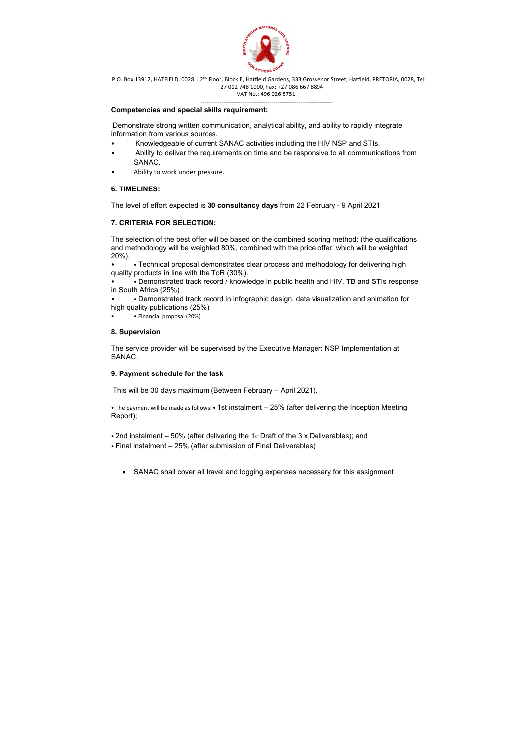

- Knowledgeable of current SANAC activities including the HIV NSP and STIs.
- Ability to deliver the requirements on time and be responsive to all communications from SANAC.
- Ability to work under pressure.

---------------------------------------------------------------------

#### Competencies and special skills requirement:

Demonstrate strong written communication, analytical ability, and ability to rapidly integrate information from various sources.

### 6. TIMELINES:

The level of effort expected is 30 consultancy days from 22 February - 9 April 2021

# 7. CRITERIA FOR SELECTION:

The selection of the best offer will be based on the combined scoring method: (the qualifications and methodology will be weighted 80%, combined with the price offer, which will be weighted 20%).

• • Technical proposal demonstrates clear process and methodology for delivering high quality products in line with the ToR (30%).

• • Demonstrated track record / knowledge in public health and HIV, TB and STIs response in South Africa (25%)

• • Demonstrated track record in infographic design, data visualization and animation for high quality publications (25%)

• • Financial proposal (20%)

#### 8. Supervision

The service provider will be supervised by the Executive Manager: NSP Implementation at SANAC.

#### 9. Payment schedule for the task

This will be 30 days maximum (Between February – April 2021).

• The payment will be made as follows: • 1st instalment – 25% (after delivering the Inception Meeting Report);

• 2nd instalment – 50% (after delivering the 1st Draft of the 3 x Deliverables); and

• Final instalment – 25% (after submission of Final Deliverables)

SANAC shall cover all travel and logging expenses necessary for this assignment